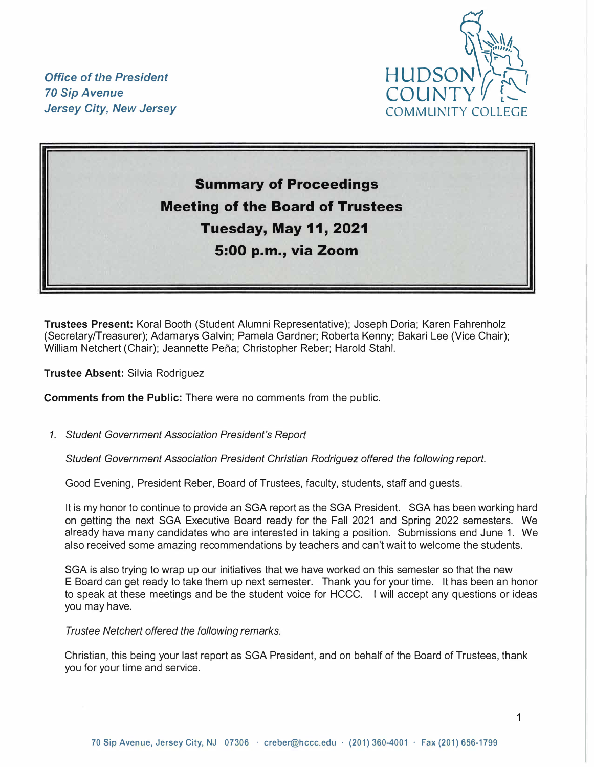*Office of the President 70 Sip A venue* 



# **Summary of Proceedings Meeting of the Board of Trustees Tuesday, May 11, 2021 5:00 p.m., via Zoom**

**Trustees Present:** Koral Booth (Student Alumni Representative); Joseph Doria; Karen Fahrenholz (Secretaryffreasurer); Adamarys Galvin; Pamela Gardner; Roberta Kenny; Bakari Lee (Vice Chair); William Netchert (Chair); Jeannette Peña; Christopher Reber; Harold Stahl.

**Trustee Absent:** Silvia Rodriguez

**Comments from the Public:** There were no comments from the public.

*1. Student Government Association President's Report* 

*Student Government Association President Christian Rodriguez offered the following report.* 

Good Evening, President Reber, Board of Trustees, faculty, students, staff and guests.

It is my honor to continue to provide an SGA report as the SGA President. SGA has been working hard on getting the next SGA Executive Board ready for the Fall 2021 and Spring 2022 semesters. We already have many candidates who are interested in taking a position. Submissions end June 1. We also received some amazing recommendations by teachers and can't wait to welcome the students.

SGA is also trying to wrap up our initiatives that we have worked on this semester so that the new E Board can get ready to take them up next semester. Thank you for your time. It has been an honor to speak at these meetings and be the student voice for HCCC. I will accept any questions or ideas you may have.

*Trustee Netchert offered the following remarks.* 

Christian, this being your last report as SGA President, and on behalf of the Board of Trustees, thank you for your time and service.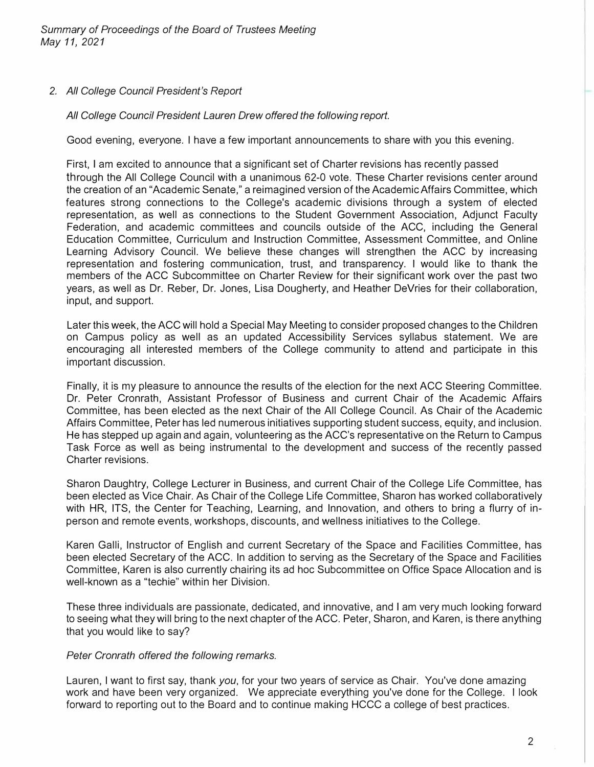## *2. All College Council President's Report*

#### *All College Council President Lauren Drew offered the following report.*

**Good evening, everyone. I have a few important announcements to share with you this evening.** 

**First, I am excited to announce that a significant set of Charter revisions has recently passed through the All College Council with a unanimous 62-0 vote. These Charter revisions center around the creation of an "Academic Senate," a reimagined version of the Academic Affairs Committee, which features strong connections to the College's academic divisions through a system of elected representation, as well as connections to the Student Government Association, Adjunct Faculty Federation, and academic committees and councils outside of the ACC, including the General Education Committee, Curriculum and Instruction Committee, Assessment Committee, and Online Learning Advisory Council. We believe these changes will strengthen the ACC by increasing representation and fostering communication, trust, and transparency. I would like to thank the members of the ACC Subcommittee on Charter Review for their significant work over the past two years, as well as Dr. Reber, Dr. Jones, Lisa Dougherty, and Heather DeVries for their collaboration, input, and support.** 

**Later this week, the ACC will hold a Special May Meeting to consider proposed changes to the Children on Campus policy as well as an updated Accessibility Services syllabus statement. We are encouraging all interested members of the College community to attend and participate in this important discussion.** 

**Finally, it is my pleasure to announce the results of the election for the next ACC Steering Committee. Dr. Peter Cronrath, Assistant Professor of Business and current Chair of the Academic Affairs Committee, has been elected as the next Chair of the All College Council. As Chair of the Academic Affairs Committee, Peter has led numerous initiatives supporting student success, equity, and inclusion. He has stepped up again and again, volunteering as the ACC's representative on the Return to Campus Task Force as well as being instrumental to the development and success of the recently passed Charter revisions.** 

**Sharon Daughtry, College Lecturer in Business, and current Chair of the College Life Committee, has been elected as Vice Chair. As Chair of the College Life Committee, Sharon has worked collaboratively with HR, ITS, the Center for Teaching, Learning, and Innovation, and others to bring a flurry of inperson and remote events, workshops, discounts, and wellness initiatives to the College.** 

**Karen Galli, Instructor of English and current Secretary of the Space and Facilities Committee, has been elected Secretary of the ACC. In addition to serving as the Secretary of the Space and Facilities Committee, Karen is also currently chairing its ad hoc Subcommittee on Office Space Allocation and is well-known as a "techie" within her Division.** 

**These three individuals are passionate, dedicated, and innovative, and I am very much looking forward to seeing what they will bring to the next chapter of the ACC. Peter, Sharon, and Karen, is there anything that you would like to say?** 

#### *Peter Cronrath offered the following remarks.*

**Lauren, I want to first say, thank** *you,* **for your two years of service as Chair. You've done amazing work and have been very organized. We appreciate everything you've done for the College. I look forward to reporting out to the Board and to continue making HCCC a college of best practices.**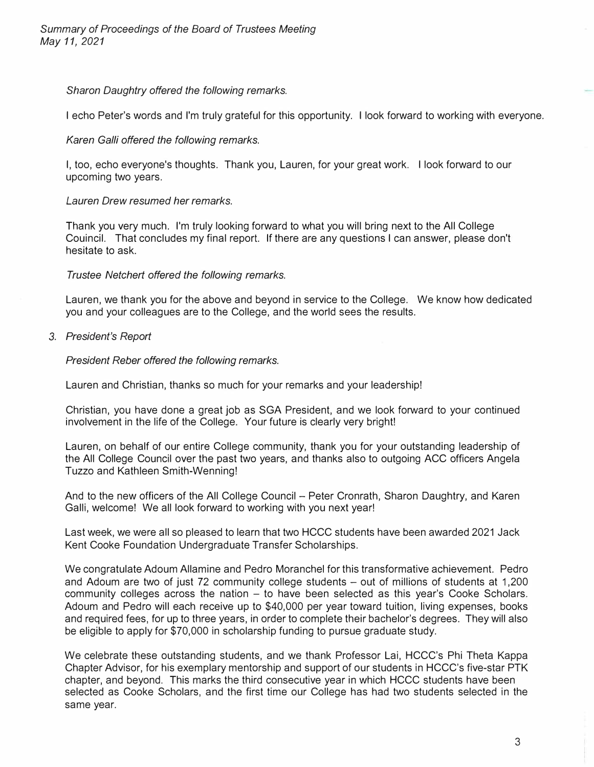*Sharon Daughtry offered the following remarks.* 

I echo Peter's words and I'm truly grateful for this opportunity. I look forward to working with everyone.

## *Karen Galli offered the following remarks.*

I, too, echo everyone's thoughts. Thank you, Lauren, for your great work. I look forward to our upcoming two years.

## *Lauren Drew resumed her remarks.*

Thank you very much. I'm truly looking forward to what you will bring next to the All College Couincil. That concludes my final report. If there are any questions I can answer, please don't hesitate to ask.

## *Trustee Netchert offered the following remarks.*

Lauren, we thank you for the above and beyond in service to the College. We know how dedicated you and your colleagues are to the College, and the world sees the results.

*3. President's Report* 

*President Reber offered the following remarks.* 

Lauren and Christian, thanks so much for your remarks and your leadership!

Christian, you have done a great job as SGA President, and we look forward to your continued involvement in the life of the College. Your future is clearly very bright!

Lauren, on behalf of our entire College community, thank you for your outstanding leadership of the All College Council over the past two years, and thanks also to outgoing ACC officers Angela Tuzzo and Kathleen Smith-Wenning!

And to the new officers of the All College Council – Peter Cronrath, Sharon Daughtry, and Karen Galli, welcome! We all look forward to working with you next year!

Last week, we were all so pleased to learn that two HCCC students have been awarded 2021 Jack Kent Cooke Foundation Undergraduate Transfer Scholarships.

We congratulate Adoum Allamine and Pedro Moranchel for this transformative achievement. Pedro and Adoum are two of just 72 community college students - out of millions of students at 1,200 community colleges across the nation  $-$  to have been selected as this year's Cooke Scholars. Adoum and Pedro will each receive up to \$40,000 per year toward tuition, living expenses, books and required fees, for up to three years, in order to complete their bachelor's degrees. They will also be eligible to apply for \$70,000 in scholarship funding to pursue graduate study.

We celebrate these outstanding students, and we thank Professor Lai, HCCC's Phi Theta Kappa Chapter Advisor, for his exemplary mentorship and support of our students in HCCC's five-star PTK chapter, and beyond. This marks the third consecutive year in which HCCC students have been selected as Cooke Scholars, and the first time our College has had two students selected in the same year.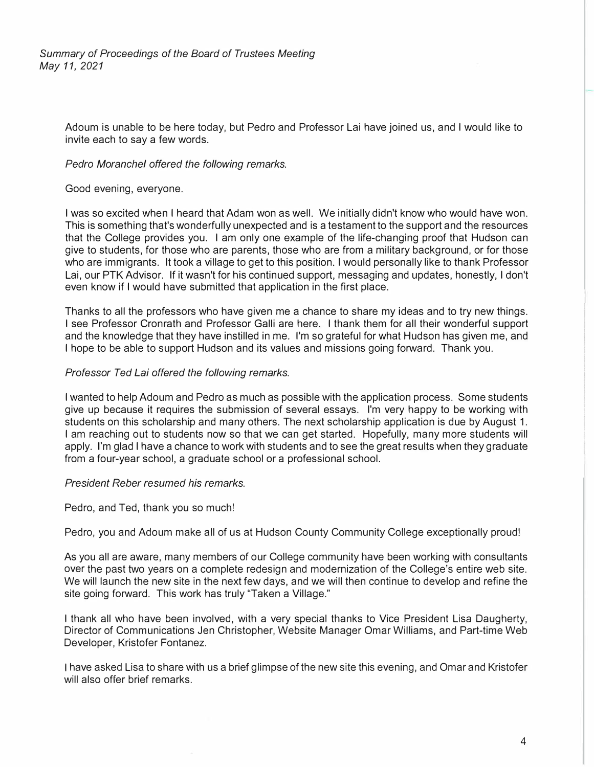Adoum is unable to be here today, but Pedro and Professor Lai have joined us, and I would like to invite each to say a few words.

#### *Pedro Moranche/ offered the following remarks.*

Good evening, everyone.

I was so excited when I heard that Adam won as well. We initially didn't know who would have won. This is something that's wonderfully unexpected and is a testament to the support and the resources that the College provides you. I am only one example of the life-changing proof that Hudson can give to students, for those who are parents, those who are from a military background, or for those who are immigrants. It took a village to get to this position. I would personally like to thank Professor Lai, our PTK Advisor. If it wasn't for his continued support, messaging and updates, honestly, I don't even know if I would have submitted that application in the first place.

Thanks to all the professors who have given me a chance to share my ideas and to try new things. I see Professor Cronrath and Professor Galli are here. I thank them for all their wonderful support and the knowledge that they have instilled in me. I'm so grateful for what Hudson has given me, and I hope to be able to support Hudson and its values and missions going forward. Thank you.

## *Professor Ted Lai offered the following remarks.*

I wanted to help Adoum and Pedro as much as possible with the application process. Some students give up because it requires the submission of several essays. I'm very happy to be working with students on this scholarship and many others. The next scholarship application is due by August 1. I am reaching out to students now so that we can get started. Hopefully, many more students will apply. I'm glad I have a chance to work with students and to see the great results when they graduate from a four-year school, a graduate school or a professional school.

#### *President Reber resumed his remarks.*

#### Pedro, and Ted, thank you so much!

Pedro, you and Adoum make all of us at Hudson County Community College exceptionally proud!

As you all are aware, many members of our College community have been working with consultants over the past two years on a complete redesign and modernization of the College's entire web site. We will launch the new site in the next few days, and we will then continue to develop and refine the site going forward. This work has truly "Taken a Village."

I thank all who have been involved, with a very special thanks to Vice President Lisa Daugherty, Director of Communications Jen Christopher, Website Manager Omar Williams, and Part-time Web Developer, Kristofer Fontanez.

I have asked Lisa to share with us a brief glimpse of the new site this evening, and Omar and Kristofer will also offer brief remarks.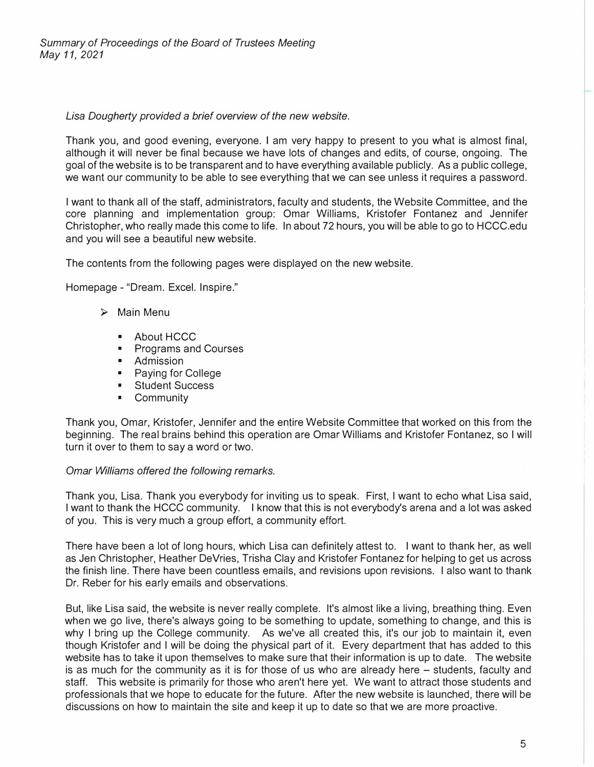## *Lisa Dougherty provided a brief overview of the new website.*

**Thank you, and good evening, everyone. I am very happy to present to you what is almost final, although it will never be final because we have lots of changes and edits, of course, ongoing. The goal of the website is to be transparent and to have everything available publicly. As a public college, we want our community to be able to see everything that we can see unless it requires a password.** 

**I want to thank all of the staff, administrators, faculty and students, the Website Committee, and the core planning and implementation group: Omar Williams, Kristofer Fontanez and Jennifer Christopher, who really made this come to life. In about 72 hours, you will be able to go to HCCC.edu and you will see a beautiful new website.** 

**The contents from the following pages were displayed on the new website.** 

**Homepage - "Dream. Excel. Inspire."** 

- **► Main Menu** 
	- **About HCCC**
	- **Programs and Courses**
	- **Admission**
	- **Paying for College**
	- **Student Success**
	- **Community**

**Thank you, Omar, Kristofer, Jennifer and the entire Website Committee that worked on this from the beginning. The real brains behind this operation are Omar Williams and Kristofer Fontanez, so I will turn it over to them to say a word or two.** 

#### *Omar Williams offered the following remarks.*

**Thank you, Lisa. Thank you eve***r***ybody for inviting us to speak. First, I want to echo what Lisa said, I want to thank the HCCC community. I know that this is not everybody's arena and a lot was asked of you. This is very much a group effo***r***t, a community effort.** 

**There have been a lot of long hours, which Lisa can definitely attest to. I want to thank her, as well as Jen Christopher, Heather De Vries, Trisha Clay and Kristofer Fontanez for helping to get us across the finish line. There have been countless emails, and revisions upon revisions. I also want to thank Dr. Reber for his early emails and observations.** 

**But, like Lisa said, the website is never really complete. It's almost like a living, breathing thing. Even when we go live, there's always going to be something to update, something to change, and this is why I bring up the College community. As we've all created this, it's our job to maintain it, even though Kristofer and I will be doing the physical pa***r***t of it. Every department that has added to this website has to take it upon themselves to make sure that their information is up to date. The website**  is as much for the community as it is for those of us who are already here – students, faculty and **staff. This website is primarily for those who aren't here yet. We want to attract those students and professionals that we hope to educate for the future. After the new website is launched, there will be discussions on how to maintain the site and keep it up to date so that we are more proactive.**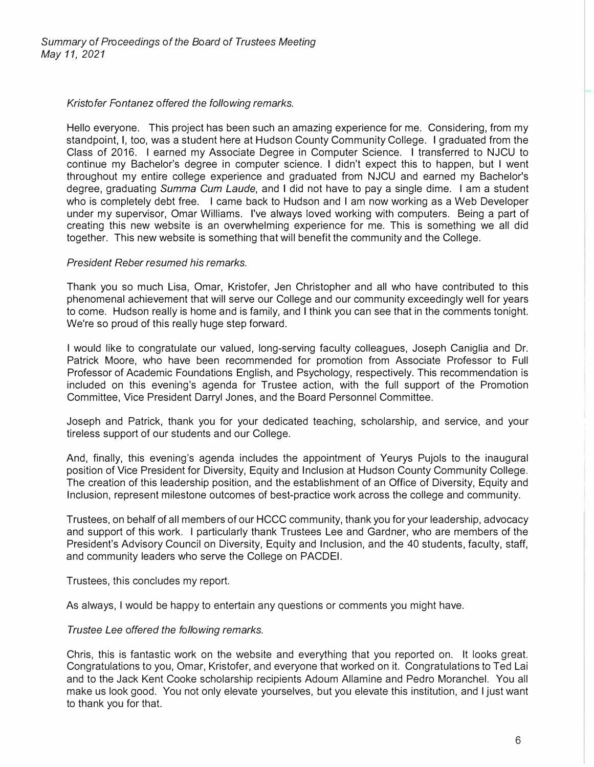## *Kristofer Fontanez offered the following remarks.*

Hello everyone. This project has been such an amazing experience for me. Considering, from my standpoint, I, too, was a student here at Hudson County Community College. I graduated from the Class of 2016. I earned my Associate Degree in Computer Science. I transferred to NJCU to continue my Bachelor's degree in computer science. I didn't expect this to happen, but I went throughout my entire college experience and graduated from NJCU and earned my Bachelor's degree, graduating *Summa Cum Laude,* and I did not have to pay a single dime. I am a student who is completely debt free. I came back to Hudson and I am now working as a Web Developer under my supervisor, Omar Williams. I've always loved working with computers. Being a part of creating this new website is an overwhelming experience for me. This is something we all did together. This new website is something that will benefit the community and the College.

## *President Reber resumed his remarks.*

Thank you so much Lisa, Omar, Kristofer, Jen Christopher and all who have contributed to this phenomenal achievement that will serve our College and our community exceedingly well for years to come. Hudson really is home and is family, and I think you can see that in the comments tonight. We're so proud of this really huge step forward.

I would like to congratulate our valued, long-serving faculty colleagues, Joseph Caniglia and Dr. Patrick Moore, who have been recommended for promotion from Associate Professor to Full Professor of Academic Foundations English, and Psychology, respectively. This recommendation is included on this evening's agenda for Trustee action, with the full support of the Promotion Committee, Vice President Darryl Jones, and the Board Personnel Committee.

Joseph and Patrick, thank you for your dedicated teaching, scholarship, and service, and your tireless support of our students and our College.

And, finally, this evening's agenda includes the appointment of Yeurys Pujols to the inaugural position of Vice President for Diversity, Equity and Inclusion at Hudson County Community College. The creation of this leadership position, and the establishment of an Office of Diversity, Equity and Inclusion, represent milestone outcomes of best-practice work across the college and community.

Trustees, on behalf of all members of our HCCC community, thank you for your leadership, advocacy and support of this work. I particularly thank Trustees Lee and Gardner, who are members of the President's Advisory Council on Diversity, Equity and Inclusion, and the 40 students, faculty, staff, and community leaders who serve the College on PACDEI.

Trustees, this concludes my report.

As always, I would be happy to entertain any questions or comments you might have.

## *Trustee Lee offered the following remarks.*

Chris, this is fantastic work on the website and everything that you reported on. It looks great. Congratulations to you, Omar, Kristofer, and everyone that worked on it. Congratulations to Ted Lai and to the Jack Kent Cooke scholarship recipients Adoum Allamine and Pedro Moranchel. You all make us look good. You not only elevate yourselves, but you elevate this institution, and I just want to thank you for that.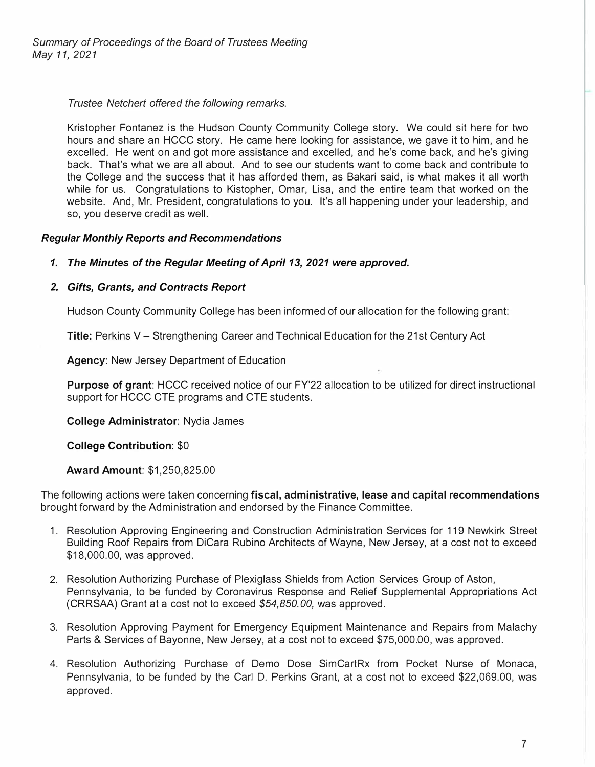# *Trustee Netchert offered the following remarks.*

Kristopher Fontanez is the Hudson County Community College story. We could sit here for two hours and share an HCCC story. He came here looking for assistance, we gave it to him, and he excelled. He went on and got more assistance and excelled, and he's come back, and he's giving back. That's what we are all about. And to see our students want to come back and contribute to the College and the success that it has afforded them, as Bakari said, is what makes it all worth while for us. Congratulations to Kistopher, Omar, Lisa, and the entire team that worked on the website. And, Mr. President, congratulations to you. It's all happening under your leadership, and so, you deserve credit as well.

# *Regular Monthly Reports and Recommendations*

# *1. The Minutes of the Regular Meeting of April 13, 2021 were approved.*

# *2. Gifts, Grants, and Contracts Report*

Hudson County Community College has been informed of our allocation for the following grant:

**Title:** Perkins V – Strengthening Career and Technical Education for the 21st Century Act

**Agency:** New Jersey Department of Education

**Purpose of grant:** HCCC received notice of our FY'22 allocation to be utilized for direct instructional support for HCCC CTE programs and CTE students.

**College Administrator:** Nydia James

**College Contribution:** \$0

**Award Amount: \$1,250,825.00** 

The following actions were taken concerning **fiscal, administrative, lease and capital recommendations**  brought forward by the Administration and endorsed by the Finance Committee.

- 1. Resolution Approving Engineering and Construction Administration Services for 119 Newkirk Street Building Roof Repairs from DiCara Rubino Architects of Wayne, New Jersey, at a cost not to exceed \$18,000.00, was approved.
- 2. Resolution Authorizing Purchase of Plexiglass Shields from Action Services Group of Aston, Pennsylvania, to be funded by Coronavirus Response and Relief Supplemental Appropriations Act (CRRSAA) Grant at a cost not to exceed *\$54,850.00,* was approved.
- 3. Resolution Approving Payment for Emergency Equipment Maintenance and Repairs from Malachy Parts & Services of Bayonne, New Jersey, at a cost not to exceed \$75,000.00, was approved.
- 4. Resolution Authorizing Purchase of Demo Dose SimCartRx from Pocket Nurse of Monaca, Pennsylvania, to be funded by the Carl D. Perkins Grant, at a cost not to exceed \$22,069.00, was approved.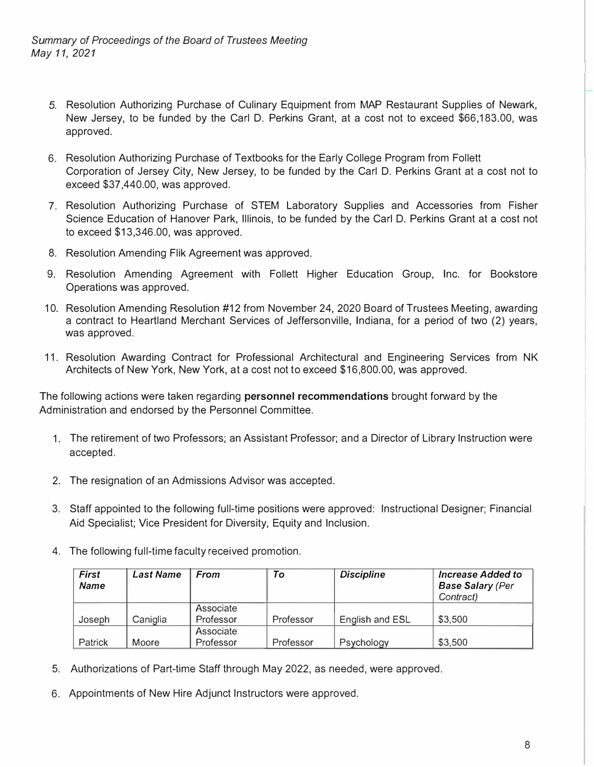- **5. Resolution Authorizing Purchase of Culinary Equipment from MAP Restaurant Supplies of Newark, New Jersey, to be funded by the Carl D. Perkins Grant, at a cost not to exceed \$66,183.00, was approved.**
- **6. Resolution Authorizing Purchase of Textbooks for the Early College Program from Follett Corporation of Jersey City, New Jersey, to be funded by the Carl D. Perkins Grant at a cost not to exceed \$37,440.00, was approved.**
- **7. Resolution Authorizing Purchase of STEM Laboratory Supplies and Accessories from Fisher Science Education of Hanover Park, Illinois, to be funded by the Carl D. Perkins Grant at a cost not to exceed \$13,346.00, was approved.**
- **8. Resolution Amending Flik Agreement was approved.**
- **9. Resolution Amending Agreement with Follett Higher Education Group, Inc. for Bookstore Operations was approved.**
- **10. Resolution Amending Resolution #12 from November 24, 2020 Board of Trustees Meeting, awarding a contract to Heartland Merchant Services of Jeffersonville, Indiana, for a period of two (2) years, was approved.**
- **11. Resolution Awarding Contract for Professional Architectural and Engineering Services from NK Architects of New York, New York, at a cost not to exceed \$16,800.00, was approved.**

**The following actions were taken regarding personnel recommendations brought forward by the Administration and endorsed by the Personnel Committee.** 

- **1. The retirement of two Professors; an Assistant Professor; and a Director of Library Instruction were accepted.**
- **2. The resignation of an Admissions Advisor was accepted.**
- **3. Staff appointed to the following full-time positions were approved: Instructional Designer; Financial Aid Specialist; Vice President for Diversity, Equity and Inclusion.**
- **4. The following full-time faculty received promotion.**

| <b>First</b><br><b>Name</b> | <b>Last Name</b> | From      | To        | <b>Discipline</b> | Increase Added to<br><b>Base Salary (Per</b><br>Contract) |
|-----------------------------|------------------|-----------|-----------|-------------------|-----------------------------------------------------------|
|                             |                  | Associate |           |                   |                                                           |
| Joseph                      | Caniglia         | Professor | Professor | English and ESL   | \$3,500                                                   |
|                             |                  | Associate |           |                   |                                                           |
| Patrick                     | Moore            | Professor | Professor | Psychology        | \$3,500                                                   |

- **5. Authorizations of Part-time Staff through May 2022, as needed, were approved.**
- **6. Appointments of New Hire Adjunct Instructors were approved.**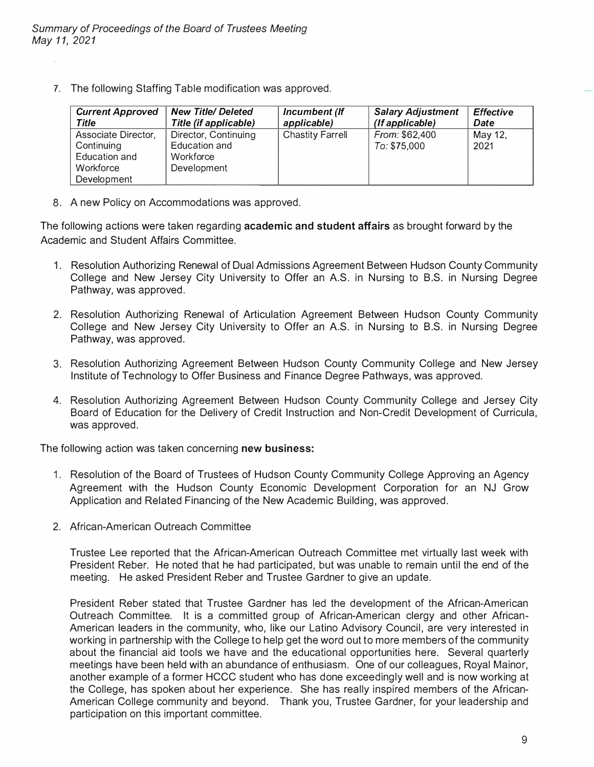**7. The following Staffing Table modification was approved.** 

| <b>Current Approved</b>                                                        | <b>New Title/ Deleted</b>                                         | Incumbent (If           | <b>Salary Adjustment</b>       | <b>Effective</b> |
|--------------------------------------------------------------------------------|-------------------------------------------------------------------|-------------------------|--------------------------------|------------------|
| <b>Title</b>                                                                   | Title (if applicable)                                             | applicable)             | (If applicable)                | Date             |
| Associate Director,<br>Continuing<br>Education and<br>Workforce<br>Development | Director, Continuing<br>Education and<br>Workforce<br>Development | <b>Chastity Farrell</b> | From: \$62,400<br>To: \$75,000 | May 12,<br>2021  |

**8. A new Policy on Accommodations was approved.** 

**The following actions were taken regarding academic and student affairs as brought forward by the Academic and Student Affairs Committee.** 

- **1. Resolution Authorizing Renewal of Dual Admissions Agreement Between Hudson County Community College and New Jersey City University to Offer an A.S. in Nursing to B.S. in Nursing Degree Pathway, was approved.**
- **2. Resolution Authorizing Renewal of Articulation Agreement Between Hudson County Community College and New Jersey City University to Offer an A.S. in Nursing to B.S. in Nursing Degree Pathway, was approved.**
- **3. Resolution Authorizing Agreement Between Hudson County Community College and New Jersey Institute of Technology to Offer Business and Finance Degree Pathways, was approved.**
- **4. Resolution Authorizing Agreement Between Hudson County Community College and Jersey City Board of Education for the Delivery of Credit Instruction and Non-Credit Development of Curricula, was approved.**

**The following action was taken concerning new business:** 

- **1. Resolution of the Board of Trustees of Hudson County Community College Approving an Agency Agreement with the Hudson County Economic Development Corporation for an NJ Grow Application and Related Financing of the New Academic Building, was approved.**
- **2. African-American Outreach Committee**

**Trustee Lee reported that the African-American Outreach Committee met virtually last week with President Reber. He noted that he had participated, but was unable to remain until the end of the meeting. He asked President Reber and Trustee Gardner to give an update.** 

**President Reber stated that Trustee Gardner has led the development of the African-American Outreach Committee. It is a committed group of African-American clergy and other African-American leaders in the community, who, like our Latino Advisory Council, are very interested in working in partnership with the College to help get the word out to more members of the community about the financial aid tools we have and the educational opportunities here. Several quarterly meetings have been held with an abundance of enthusiasm. One of our colleagues, Royal Mainor, another example of a former HCCC student who has done exceedingly well and is now working at the College, has spoken about her experience. She has really inspired members of the African-American College community and beyond. Thank you, Trustee Gardner, for your leadership and participation on this important committee.**